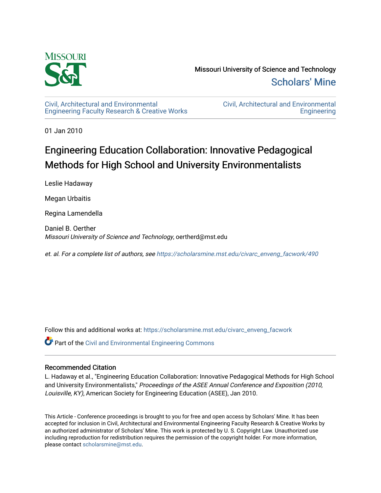

Missouri University of Science and Technology [Scholars' Mine](https://scholarsmine.mst.edu/) 

[Civil, Architectural and Environmental](https://scholarsmine.mst.edu/civarc_enveng_facwork) [Engineering Faculty Research & Creative Works](https://scholarsmine.mst.edu/civarc_enveng_facwork) [Civil, Architectural and Environmental](https://scholarsmine.mst.edu/civarc_enveng)  **Engineering** 

01 Jan 2010

# Engineering Education Collaboration: Innovative Pedagogical Methods for High School and University Environmentalists

Leslie Hadaway

Megan Urbaitis

Regina Lamendella

Daniel B. Oerther Missouri University of Science and Technology, oertherd@mst.edu

et. al. For a complete list of authors, see [https://scholarsmine.mst.edu/civarc\\_enveng\\_facwork/490](https://scholarsmine.mst.edu/civarc_enveng_facwork/490)

Follow this and additional works at: [https://scholarsmine.mst.edu/civarc\\_enveng\\_facwork](https://scholarsmine.mst.edu/civarc_enveng_facwork?utm_source=scholarsmine.mst.edu%2Fcivarc_enveng_facwork%2F490&utm_medium=PDF&utm_campaign=PDFCoverPages) 

 $\bullet$  Part of the [Civil and Environmental Engineering Commons](http://network.bepress.com/hgg/discipline/251?utm_source=scholarsmine.mst.edu%2Fcivarc_enveng_facwork%2F490&utm_medium=PDF&utm_campaign=PDFCoverPages)

#### Recommended Citation

L. Hadaway et al., "Engineering Education Collaboration: Innovative Pedagogical Methods for High School and University Environmentalists," Proceedings of the ASEE Annual Conference and Exposition (2010, Louisville, KY), American Society for Engineering Education (ASEE), Jan 2010.

This Article - Conference proceedings is brought to you for free and open access by Scholars' Mine. It has been accepted for inclusion in Civil, Architectural and Environmental Engineering Faculty Research & Creative Works by an authorized administrator of Scholars' Mine. This work is protected by U. S. Copyright Law. Unauthorized use including reproduction for redistribution requires the permission of the copyright holder. For more information, please contact [scholarsmine@mst.edu.](mailto:scholarsmine@mst.edu)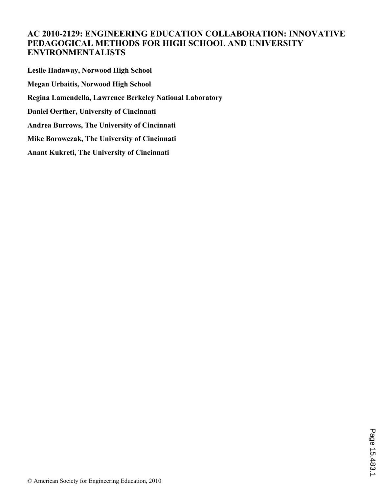## **AC 2010-2129: ENGINEERING EDUCATION COLLABORATION: INNOVATIVE PEDAGOGICAL METHODS FOR HIGH SCHOOL AND UNIVERSITY ENVIRONMENTALISTS**

**Leslie Hadaway, Norwood High School Megan Urbaitis, Norwood High School Regina Lamendella, Lawrence Berkeley National Laboratory Daniel Oerther, University of Cincinnati Andrea Burrows, The University of Cincinnati Mike Borowczak, The University of Cincinnati Anant Kukreti, The University of Cincinnati**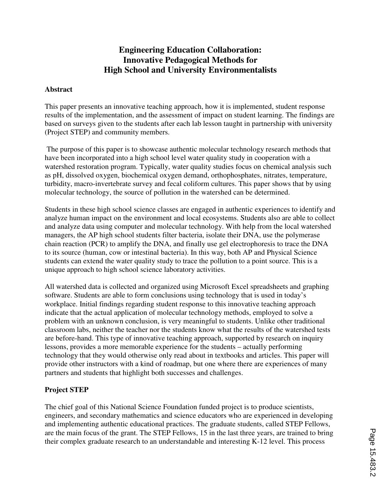# **Engineering Education Collaboration: Innovative Pedagogical Methods for High School and University Environmentalists**

#### **Abstract**

This paper presents an innovative teaching approach, how it is implemented, student response results of the implementation, and the assessment of impact on student learning. The findings are based on surveys given to the students after each lab lesson taught in partnership with university (Project STEP) and community members.

 The purpose of this paper is to showcase authentic molecular technology research methods that have been incorporated into a high school level water quality study in cooperation with a watershed restoration program. Typically, water quality studies focus on chemical analysis such as pH, dissolved oxygen, biochemical oxygen demand, orthophosphates, nitrates, temperature, turbidity, macro-invertebrate survey and fecal coliform cultures. This paper shows that by using molecular technology, the source of pollution in the watershed can be determined.

Students in these high school science classes are engaged in authentic experiences to identify and analyze human impact on the environment and local ecosystems. Students also are able to collect and analyze data using computer and molecular technology. With help from the local watershed managers, the AP high school students filter bacteria, isolate their DNA, use the polymerase chain reaction (PCR) to amplify the DNA, and finally use gel electrophoresis to trace the DNA to its source (human, cow or intestinal bacteria). In this way, both AP and Physical Science students can extend the water quality study to trace the pollution to a point source. This is a unique approach to high school science laboratory activities.

All watershed data is collected and organized using Microsoft Excel spreadsheets and graphing software. Students are able to form conclusions using technology that is used in today's workplace. Initial findings regarding student response to this innovative teaching approach indicate that the actual application of molecular technology methods, employed to solve a problem with an unknown conclusion, is very meaningful to students. Unlike other traditional classroom labs, neither the teacher nor the students know what the results of the watershed tests are before-hand. This type of innovative teaching approach, supported by research on inquiry lessons, provides a more memorable experience for the students – actually performing technology that they would otherwise only read about in textbooks and articles. This paper will provide other instructors with a kind of roadmap, but one where there are experiences of many partners and students that highlight both successes and challenges.

#### **Project STEP**

The chief goal of this National Science Foundation funded project is to produce scientists, engineers, and secondary mathematics and science educators who are experienced in developing and implementing authentic educational practices. The graduate students, called STEP Fellows, are the main focus of the grant. The STEP Fellows, 15 in the last three years, are trained to bring their complex graduate research to an understandable and interesting K-12 level. This process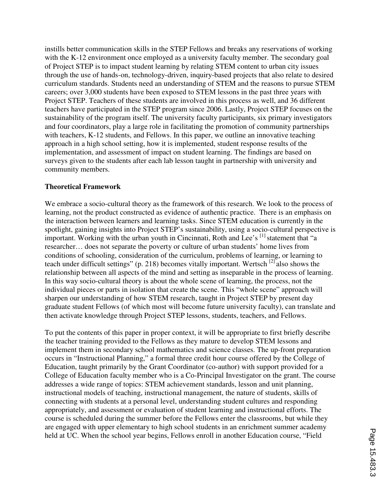instills better communication skills in the STEP Fellows and breaks any reservations of working with the K-12 environment once employed as a university faculty member. The secondary goal of Project STEP is to impact student learning by relating STEM content to urban city issues through the use of hands-on, technology-driven, inquiry-based projects that also relate to desired curriculum standards. Students need an understanding of STEM and the reasons to pursue STEM careers; over 3,000 students have been exposed to STEM lessons in the past three years with Project STEP. Teachers of these students are involved in this process as well, and 36 different teachers have participated in the STEP program since 2006. Lastly, Project STEP focuses on the sustainability of the program itself. The university faculty participants, six primary investigators and four coordinators, play a large role in facilitating the promotion of community partnerships with teachers, K-12 students, and Fellows. In this paper, we outline an innovative teaching approach in a high school setting, how it is implemented, student response results of the implementation, and assessment of impact on student learning. The findings are based on surveys given to the students after each lab lesson taught in partnership with university and community members.

#### **Theoretical Framework**

We embrace a socio-cultural theory as the framework of this research. We look to the process of learning, not the product constructed as evidence of authentic practice. There is an emphasis on the interaction between learners and learning tasks. Since STEM education is currently in the spotlight, gaining insights into Project STEP's sustainability, using a socio-cultural perspective is important. Working with the urban youth in Cincinnati, Roth and Lee's [1] statement that "a researcher… does not separate the poverty or culture of urban students' home lives from conditions of schooling, consideration of the curriculum, problems of learning, or learning to teach under difficult settings" (p. 218) becomes vitally important. Wertsch<sup>[2]</sup> also shows the relationship between all aspects of the mind and setting as inseparable in the process of learning. In this way socio-cultural theory is about the whole scene of learning, the process, not the individual pieces or parts in isolation that create the scene. This "whole scene" approach will sharpen our understanding of how STEM research, taught in Project STEP by present day graduate student Fellows (of which most will become future university faculty), can translate and then activate knowledge through Project STEP lessons, students, teachers, and Fellows.

To put the contents of this paper in proper context, it will be appropriate to first briefly describe the teacher training provided to the Fellows as they mature to develop STEM lessons and implement them in secondary school mathematics and science classes. The up-front preparation occurs in "Instructional Planning," a formal three credit hour course offered by the College of Education, taught primarily by the Grant Coordinator (co-author) with support provided for a College of Education faculty member who is a Co-Principal Investigator on the grant. The course addresses a wide range of topics: STEM achievement standards, lesson and unit planning, instructional models of teaching, instructional management, the nature of students, skills of connecting with students at a personal level, understanding student cultures and responding appropriately, and assessment or evaluation of student learning and instructional efforts. The course is scheduled during the summer before the Fellows enter the classrooms, but while they are engaged with upper elementary to high school students in an enrichment summer academy held at UC. When the school year begins, Fellows enroll in another Education course, "Field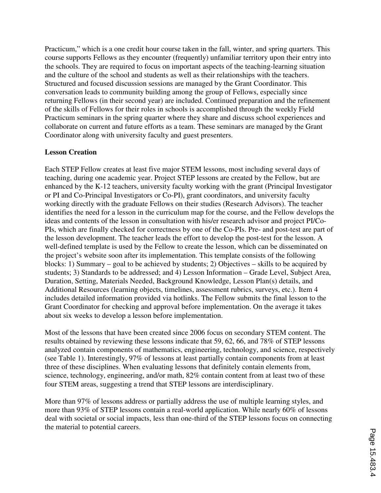Practicum," which is a one credit hour course taken in the fall, winter, and spring quarters. This course supports Fellows as they encounter (frequently) unfamiliar territory upon their entry into the schools. They are required to focus on important aspects of the teaching-learning situation and the culture of the school and students as well as their relationships with the teachers. Structured and focused discussion sessions are managed by the Grant Coordinator. This conversation leads to community building among the group of Fellows, especially since returning Fellows (in their second year) are included. Continued preparation and the refinement of the skills of Fellows for their roles in schools is accomplished through the weekly Field Practicum seminars in the spring quarter where they share and discuss school experiences and collaborate on current and future efforts as a team. These seminars are managed by the Grant Coordinator along with university faculty and guest presenters.

#### **Lesson Creation**

Each STEP Fellow creates at least five major STEM lessons, most including several days of teaching, during one academic year. Project STEP lessons are created by the Fellow, but are enhanced by the K-12 teachers, university faculty working with the grant (Principal Investigator or PI and Co-Principal Investigators or Co-PI), grant coordinators, and university faculty working directly with the graduate Fellows on their studies (Research Advisors). The teacher identifies the need for a lesson in the curriculum map for the course, and the Fellow develops the ideas and contents of the lesson in consultation with his/er research advisor and project PI/Co-PIs, which are finally checked for correctness by one of the Co-PIs. Pre- and post-test are part of the lesson development. The teacher leads the effort to develop the post-test for the lesson. A well-defined template is used by the Fellow to create the lesson, which can be disseminated on the project's website soon after its implementation. This template consists of the following blocks: 1) Summary – goal to be achieved by students; 2) Objectives – skills to be acquired by students; 3) Standards to be addressed; and 4) Lesson Information – Grade Level, Subject Area, Duration, Setting, Materials Needed, Background Knowledge, Lesson Plan(s) details, and Additional Resources (learning objects, timelines, assessment rubrics, surveys, etc.). Item 4 includes detailed information provided via hotlinks. The Fellow submits the final lesson to the Grant Coordinator for checking and approval before implementation. On the average it takes about six weeks to develop a lesson before implementation.

Most of the lessons that have been created since 2006 focus on secondary STEM content. The results obtained by reviewing these lessons indicate that 59, 62, 66, and 78% of STEP lessons analyzed contain components of mathematics, engineering, technology, and science, respectively (see Table 1). Interestingly, 97% of lessons at least partially contain components from at least three of these disciplines. When evaluating lessons that definitely contain elements from, science, technology, engineering, and/or math, 82% contain content from at least two of these four STEM areas, suggesting a trend that STEP lessons are interdisciplinary.

More than 97% of lessons address or partially address the use of multiple learning styles, and more than 93% of STEP lessons contain a real-world application. While nearly 60% of lessons deal with societal or social impacts, less than one-third of the STEP lessons focus on connecting the material to potential careers.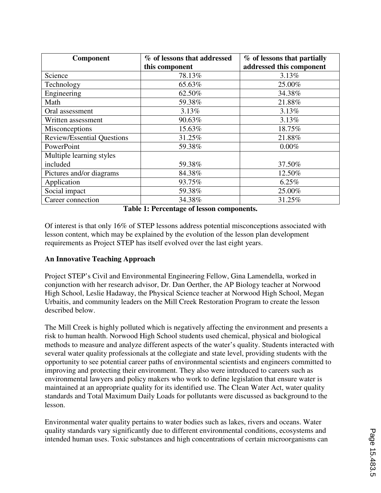| <b>Component</b>                  | % of lessons that addressed | % of lessons that partially |  |
|-----------------------------------|-----------------------------|-----------------------------|--|
|                                   | this component              | addressed this component    |  |
| Science                           | 78.13%                      | 3.13%                       |  |
| Technology                        | 65.63%                      | 25.00%                      |  |
| Engineering                       | 62.50%                      | 34.38%                      |  |
| Math                              | 59.38%                      | 21.88%                      |  |
| Oral assessment                   | 3.13%                       | 3.13%                       |  |
| Written assessment                | 90.63%                      | 3.13%                       |  |
| Misconceptions                    | 15.63%                      | 18.75%                      |  |
| <b>Review/Essential Questions</b> | 31.25%                      | 21.88%                      |  |
| PowerPoint                        | 59.38%                      | 0.00%                       |  |
| Multiple learning styles          |                             |                             |  |
| included                          | 59.38%                      | 37.50%                      |  |
| Pictures and/or diagrams          | 84.38%                      | 12.50%                      |  |
| Application                       | 93.75%                      | 6.25%                       |  |
| Social impact                     | 59.38%                      | 25.00%                      |  |
| Career connection                 | 34.38%                      | 31.25%                      |  |

**Table 1: Percentage of lesson components.** 

Of interest is that only 16% of STEP lessons address potential misconceptions associated with lesson content, which may be explained by the evolution of the lesson plan development requirements as Project STEP has itself evolved over the last eight years.

#### **An Innovative Teaching Approach**

Project STEP's Civil and Environmental Engineering Fellow, Gina Lamendella, worked in conjunction with her research advisor, Dr. Dan Oerther, the AP Biology teacher at Norwood High School, Leslie Hadaway, the Physical Science teacher at Norwood High School, Megan Urbaitis, and community leaders on the Mill Creek Restoration Program to create the lesson described below.

The Mill Creek is highly polluted which is negatively affecting the environment and presents a risk to human health. Norwood High School students used chemical, physical and biological methods to measure and analyze different aspects of the water's quality. Students interacted with several water quality professionals at the collegiate and state level, providing students with the opportunity to see potential career paths of environmental scientists and engineers committed to improving and protecting their environment. They also were introduced to careers such as environmental lawyers and policy makers who work to define legislation that ensure water is maintained at an appropriate quality for its identified use. The Clean Water Act, water quality standards and Total Maximum Daily Loads for pollutants were discussed as background to the lesson.

Environmental water quality pertains to water bodies such as lakes, rivers and oceans. Water quality standards vary significantly due to different environmental conditions, ecosystems and intended human uses. Toxic substances and high concentrations of certain microorganisms can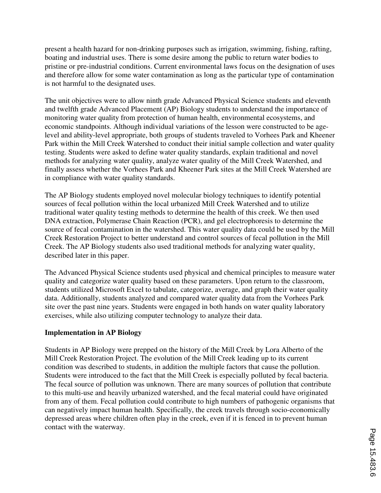present a health hazard for non-drinking purposes such as irrigation, swimming, fishing, rafting, boating and industrial uses. There is some desire among the public to return water bodies to pristine or pre-industrial conditions. Current environmental laws focus on the designation of uses and therefore allow for some water contamination as long as the particular type of contamination is not harmful to the designated uses.

The unit objectives were to allow ninth grade Advanced Physical Science students and eleventh and twelfth grade Advanced Placement (AP) Biology students to understand the importance of monitoring water quality from protection of human health, environmental ecosystems, and economic standpoints. Although individual variations of the lesson were constructed to be agelevel and ability-level appropriate, both groups of students traveled to Vorhees Park and Kheener Park within the Mill Creek Watershed to conduct their initial sample collection and water quality testing. Students were asked to define water quality standards, explain traditional and novel methods for analyzing water quality, analyze water quality of the Mill Creek Watershed, and finally assess whether the Vorhees Park and Kheener Park sites at the Mill Creek Watershed are in compliance with water quality standards.

The AP Biology students employed novel molecular biology techniques to identify potential sources of fecal pollution within the local urbanized Mill Creek Watershed and to utilize traditional water quality testing methods to determine the health of this creek. We then used DNA extraction, Polymerase Chain Reaction (PCR), and gel electrophoresis to determine the source of fecal contamination in the watershed. This water quality data could be used by the Mill Creek Restoration Project to better understand and control sources of fecal pollution in the Mill Creek. The AP Biology students also used traditional methods for analyzing water quality, described later in this paper.

The Advanced Physical Science students used physical and chemical principles to measure water quality and categorize water quality based on these parameters. Upon return to the classroom, students utilized Microsoft Excel to tabulate, categorize, average, and graph their water quality data. Additionally, students analyzed and compared water quality data from the Vorhees Park site over the past nine years. Students were engaged in both hands on water quality laboratory exercises, while also utilizing computer technology to analyze their data.

#### **Implementation in AP Biology**

Students in AP Biology were prepped on the history of the Mill Creek by Lora Alberto of the Mill Creek Restoration Project. The evolution of the Mill Creek leading up to its current condition was described to students, in addition the multiple factors that cause the pollution. Students were introduced to the fact that the Mill Creek is especially polluted by fecal bacteria. The fecal source of pollution was unknown. There are many sources of pollution that contribute to this multi-use and heavily urbanized watershed, and the fecal material could have originated from any of them. Fecal pollution could contribute to high numbers of pathogenic organisms that can negatively impact human health. Specifically, the creek travels through socio-economically depressed areas where children often play in the creek, even if it is fenced in to prevent human contact with the waterway.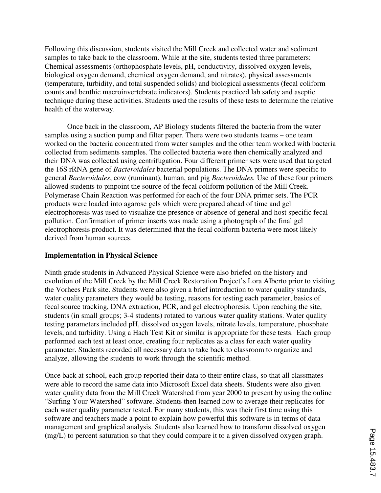Following this discussion, students visited the Mill Creek and collected water and sediment samples to take back to the classroom. While at the site, students tested three parameters: Chemical assessments (orthophosphate levels, pH, conductivity, dissolved oxygen levels, biological oxygen demand, chemical oxygen demand, and nitrates), physical assessments (temperature, turbidity, and total suspended solids) and biological assessments (fecal coliform counts and benthic macroinvertebrate indicators). Students practiced lab safety and aseptic technique during these activities. Students used the results of these tests to determine the relative health of the waterway.

Once back in the classroom, AP Biology students filtered the bacteria from the water samples using a suction pump and filter paper. There were two students teams – one team worked on the bacteria concentrated from water samples and the other team worked with bacteria collected from sediments samples. The collected bacteria were then chemically analyzed and their DNA was collected using centrifugation. Four different primer sets were used that targeted the 16S rRNA gene of *Bacteroidales* bacterial populations. The DNA primers were specific to general *Bacteroidales*, cow (ruminant), human, and pig *Bacteroidales.* Use of these four primers allowed students to pinpoint the source of the fecal coliform pollution of the Mill Creek. Polymerase Chain Reaction was performed for each of the four DNA primer sets. The PCR products were loaded into agarose gels which were prepared ahead of time and gel electrophoresis was used to visualize the presence or absence of general and host specific fecal pollution. Confirmation of primer inserts was made using a photograph of the final gel electrophoresis product. It was determined that the fecal coliform bacteria were most likely derived from human sources.

#### **Implementation in Physical Science**

Ninth grade students in Advanced Physical Science were also briefed on the history and evolution of the Mill Creek by the Mill Creek Restoration Project's Lora Alberto prior to visiting the Vorhees Park site. Students were also given a brief introduction to water quality standards, water quality parameters they would be testing, reasons for testing each parameter, basics of fecal source tracking, DNA extraction, PCR, and gel electrophoresis. Upon reaching the site, students (in small groups; 3-4 students) rotated to various water quality stations. Water quality testing parameters included pH, dissolved oxygen levels, nitrate levels, temperature, phosphate levels, and turbidity. Using a Hach Test Kit or similar is appropriate for these tests. Each group performed each test at least once, creating four replicates as a class for each water quality parameter. Students recorded all necessary data to take back to classroom to organize and analyze, allowing the students to work through the scientific method.

Once back at school, each group reported their data to their entire class, so that all classmates were able to record the same data into Microsoft Excel data sheets. Students were also given water quality data from the Mill Creek Watershed from year 2000 to present by using the online "Surfing Your Watershed" software. Students then learned how to average their replicates for each water quality parameter tested. For many students, this was their first time using this software and teachers made a point to explain how powerful this software is in terms of data management and graphical analysis. Students also learned how to transform dissolved oxygen (mg/L) to percent saturation so that they could compare it to a given dissolved oxygen graph.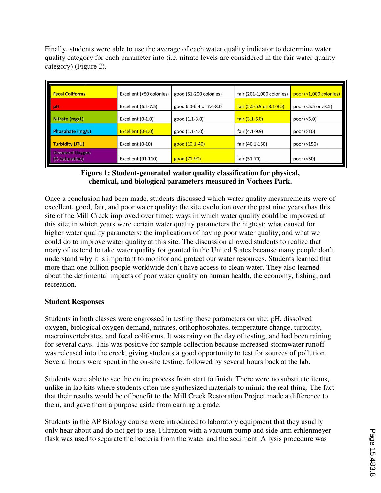Finally, students were able to use the average of each water quality indicator to determine water quality category for each parameter into (i.e. nitrate levels are considered in the fair water quality category) (Figure 2).

| <b>Fecal Coliforms</b>                    | Excellent (<50 colonies)  | good (51-200 colonies)  | fair (201-1,000 colonies)         | $poor$ (>1,000 colonies)   |
|-------------------------------------------|---------------------------|-------------------------|-----------------------------------|----------------------------|
| pH                                        | Excellent (6.5-7.5)       | good 6.0-6.4 or 7.6-8.0 | fair $(5.5 - 5.9)$ or $8.1 - 8.5$ | poor $($ < 5.5 or $>8.5$ ) |
| Nitrate (mg/L)                            | Excellent (0-1.0)         | good (1.1-3.0)          | $fair (3.1-5.0)$                  | poor (>5.0)                |
| Phosphate (mg/L)                          | Excellent (0-1.0)         | good (1.1-4.0)          | fair (4.1-9.9)                    | poor $(>10)$               |
| <b>Turbidity (JTU)</b>                    | Excellent (0-10)          | good (10.1-40)          | fair (40.1-150)                   | poor (>150)                |
| <b>Dissolved Oxygen</b><br>(% Saturation) | <b>Excellent (91-110)</b> | good (71-90)            | fair (51-70)                      | poor (<50)                 |

### **Figure 1: Student-generated water quality classification for physical, chemical, and biological parameters measured in Vorhees Park.**

Once a conclusion had been made, students discussed which water quality measurements were of excellent, good, fair, and poor water quality; the site evolution over the past nine years (has this site of the Mill Creek improved over time); ways in which water quality could be improved at this site; in which years were certain water quality parameters the highest; what caused for higher water quality parameters; the implications of having poor water quality; and what we could do to improve water quality at this site. The discussion allowed students to realize that many of us tend to take water quality for granted in the United States because many people don't understand why it is important to monitor and protect our water resources. Students learned that more than one billion people worldwide don't have access to clean water. They also learned about the detrimental impacts of poor water quality on human health, the economy, fishing, and recreation.

#### **Student Responses**

Students in both classes were engrossed in testing these parameters on site: pH, dissolved oxygen, biological oxygen demand, nitrates, orthophosphates, temperature change, turbidity, macroinvertebrates, and fecal coliforms. It was rainy on the day of testing, and had been raining for several days. This was positive for sample collection because increased stormwater runoff was released into the creek, giving students a good opportunity to test for sources of pollution. Several hours were spent in the on-site testing, followed by several hours back at the lab.

Students were able to see the entire process from start to finish. There were no substitute items, unlike in lab kits where students often use synthesized materials to mimic the real thing. The fact that their results would be of benefit to the Mill Creek Restoration Project made a difference to them, and gave them a purpose aside from earning a grade.

Students in the AP Biology course were introduced to laboratory equipment that they usually only hear about and do not get to use. Filtration with a vacuum pump and side-arm erhlenmeyer flask was used to separate the bacteria from the water and the sediment. A lysis procedure was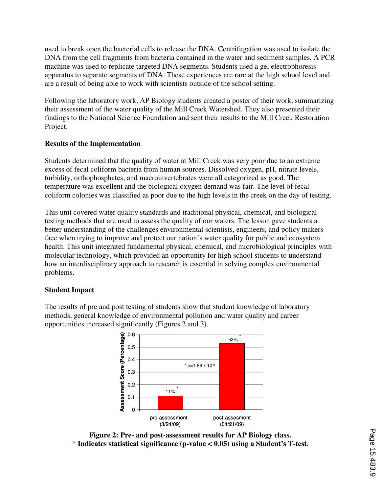used to break open the bacterial cells to release the DNA. Centrifugation was used to isolate the DNA from the cell fragments from bacteria contained in the water and sediment samples. A PCR machine was used to replicate targeted DNA segments. Students used a gel electrophoresis apparatus to separate segments of DNA. These experiences are rare at the high school level and are a result of being able to work with scientists outside of the school setting.

Following the laboratory work, AP Biology students created a poster of their work, summarizing their assessment of the water quality of the Mill Creek Watershed. They also presented their findings to the National Science Foundation and sent their results to the Mill Creek Restoration Project.

## **Results of the Implementation**

Students determined that the quality of water at Mill Creek was very poor due to an extreme excess of fecal coliform bacteria from human sources. Dissolved oxygen, pH, nitrate levels, turbidity, orthophosphates, and macroinvertebrates were all categorized as good. The temperature was excellent and the biological oxygen demand was fair. The level of fecal coliform colonies was classified as poor due to the high levels in the creek on the day of testing.

This unit covered water quality standards and traditional physical, chemical, and biological testing methods that are used to assess the quality of our waters. The lesson gave students a better understanding of the challenges environmental scientists, engineers, and policy makers face when trying to improve and protect our nation's water quality for public and ecosystem health. This unit integrated fundamental physical, chemical, and microbiological principles with molecular technology, which provided an opportunity for high school students to understand how an interdisciplinary approach to research is essential in solving complex environmental problems.

#### **Student Impact**

The results of pre and post testing of students show that student knowledge of laboratory methods, general knowledge of environmental pollution and water quality and career opportunities increased significantly (Figures 2 and 3).



**Figure 2: Pre- and post-assessment results for AP Biology class. \* Indicates statistical significance (p-value < 0.05) using a Student's T-test.**